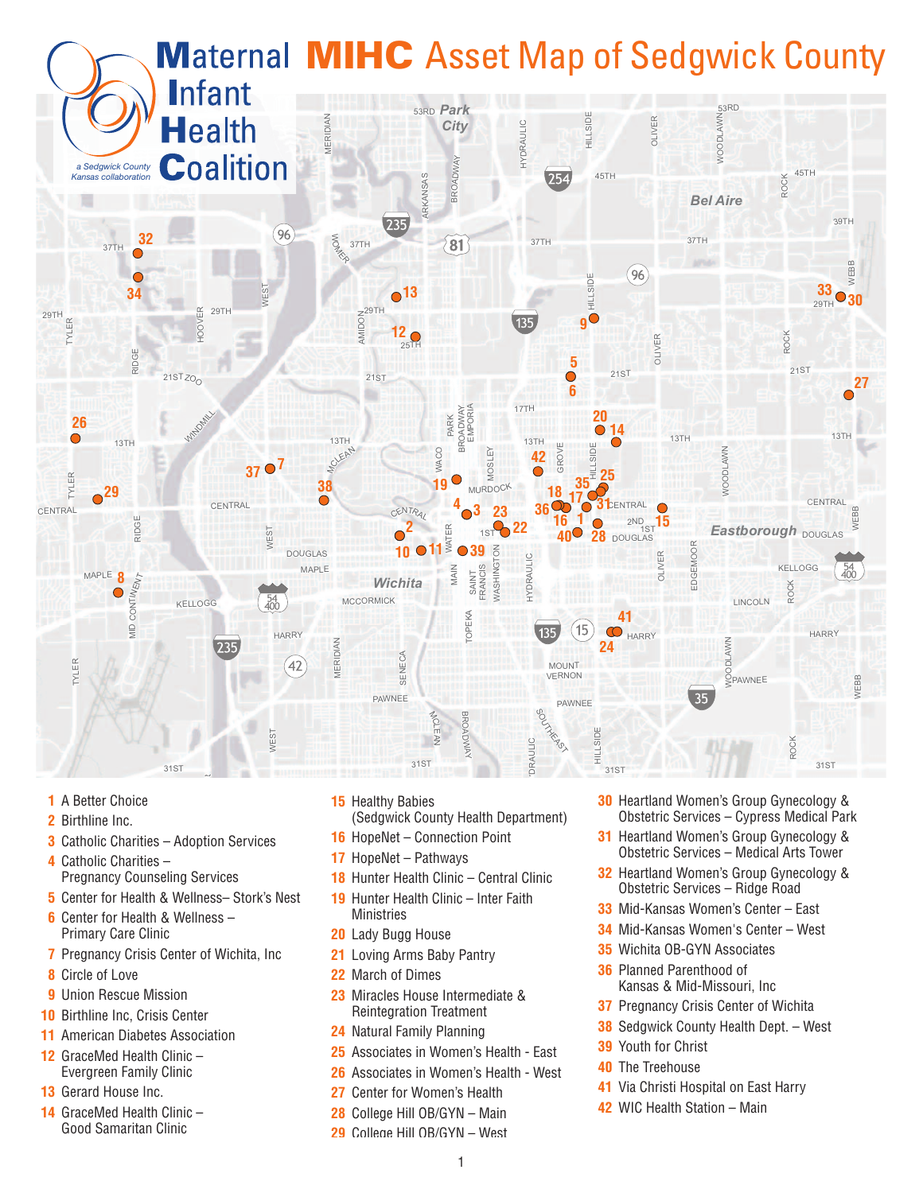

- **1** A Better Choice
- **2** Birthline Inc.
- **3** Catholic Charities Adoption Services
- **4** Catholic Charities Pregnancy Counseling Services
- **5** Center for Health & Wellness– Stork's Nest
- **6** Center for Health & Wellness Primary Care Clinic
- **7** Pregnancy Crisis Center of Wichita, Inc
- **8** Circle of Love
- **9** Union Rescue Mission
- **10** Birthline Inc, Crisis Center
- **11** American Diabetes Association
- **12** GraceMed Health Clinic Evergreen Family Clinic
- **13** Gerard House Inc.
- **14** GraceMed Health Clinic Good Samaritan Clinic
- **15** Healthy Babies
- (Sedgwick County Health Department)
- **16** HopeNet Connection Point
- **17** HopeNet Pathways
- **18** Hunter Health Clinic Central Clinic
- **19** Hunter Health Clinic Inter Faith **Ministries**
- **20** Lady Bugg House
- **21** Loving Arms Baby Pantry
- **22** March of Dimes
- **23** Miracles House Intermediate & Reintegration Treatment
- **24** Natural Family Planning
- **25** Associates in Women's Health East
- **26** Associates in Women's Health West
- **27** Center for Women's Health
- **28** College Hill OB/GYN Main
- 29 College Hill OB/GYN West
- **30** Heartland Women's Group Gynecology & Obstetric Services – Cypress Medical Park
- **31** Heartland Women's Group Gynecology & Obstetric Services – Medical Arts Tower
- **32** Heartland Women's Group Gynecology & Obstetric Services – Ridge Road
- **33** Mid-Kansas Women's Center East
- **34** Mid-Kansas Women's Center West
- **35** Wichita OB-GYN Associates
- **36** Planned Parenthood of Kansas & Mid-Missouri, Inc
- **37** Pregnancy Crisis Center of Wichita
- **38** Sedgwick County Health Dept. West
- **39** Youth for Christ
- **40** The Treehouse
- **41** Via Christi Hospital on East Harry
- **42** WIC Health Station Main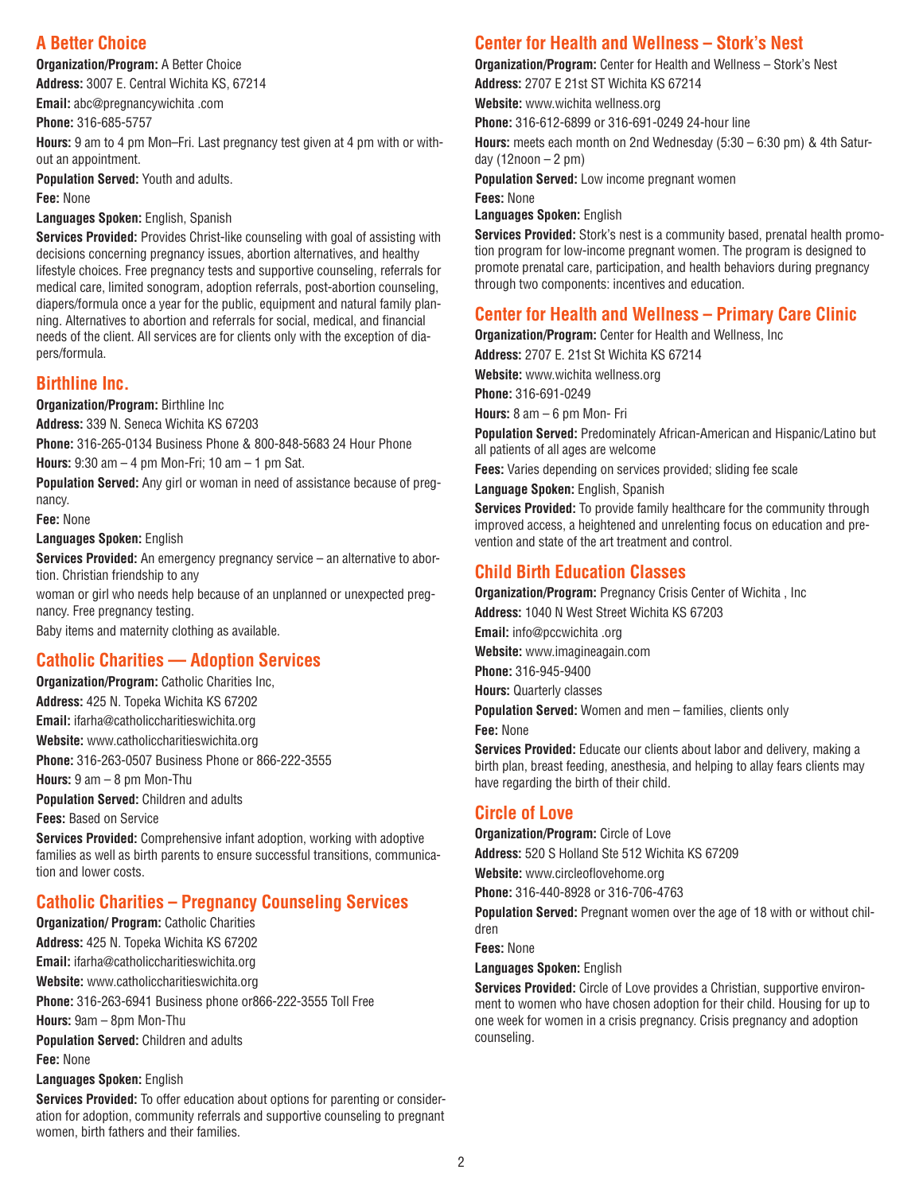## **A Better Choice**

**Organization/Program:** A Better Choice

**Address:** 3007 E. Central Wichita KS, 67214 **Email:** abc@pregnancywichita .com

**Phone:** 316-685-5757

**Hours:** 9 am to 4 pm Mon–Fri. Last pregnancy test given at 4 pm with or without an appointment.

**Population Served:** Youth and adults. **Fee:** None

**Languages Spoken:** English, Spanish

**Services Provided:** Provides Christ-like counseling with goal of assisting with decisions concerning pregnancy issues, abortion alternatives, and healthy lifestyle choices. Free pregnancy tests and supportive counseling, referrals for medical care, limited sonogram, adoption referrals, post-abortion counseling, diapers/formula once a year for the public, equipment and natural family planning. Alternatives to abortion and referrals for social, medical, and financial needs of the client. All services are for clients only with the exception of diapers/formula.

## **Birthline Inc.**

**Organization/Program:** Birthline Inc

**Address:** 339 N. Seneca Wichita KS 67203

**Phone:** 316-265-0134 Business Phone & 800-848-5683 24 Hour Phone

**Hours:** 9:30 am – 4 pm Mon-Fri; 10 am – 1 pm Sat.

**Population Served:** Any girl or woman in need of assistance because of pregnancy.

**Fee:** None

**Languages Spoken:** English

**Services Provided:** An emergency pregnancy service – an alternative to abortion. Christian friendship to any

woman or girl who needs help because of an unplanned or unexpected pregnancy. Free pregnancy testing.

Baby items and maternity clothing as available.

## **Catholic Charities — Adoption Services**

**Organization/Program:** Catholic Charities Inc, **Address:** 425 N. Topeka Wichita KS 67202 **Email:** ifarha@catholiccharitieswichita.org **Website:** [www.catholiccharitieswichita.org](www.catholiccharitieswichita.org ) **Phone:** 316-263-0507 Business Phone or 866-222-3555 **Hours:** 9 am – 8 pm Mon-Thu **Population Served:** Children and adults **Fees:** Based on Service

**Services Provided:** Comprehensive infant adoption, working with adoptive families as well as birth parents to ensure successful transitions, communication and lower costs.

## **Catholic Charities – Pregnancy Counseling Services**

**Organization/ Program:** Catholic Charities **Address:** 425 N. Topeka Wichita KS 67202 **Email:** ifarha@catholiccharitieswichita.org **Website:** [www.catholiccharitieswichita.org](www.catholiccharitieswichita.org ) **Phone:** 316-263-6941 Business phone or866-222-3555 Toll Free **Hours:** 9am – 8pm Mon-Thu **Population Served:** Children and adults **Fee:** None **Languages Spoken:** English

**Services Provided:** To offer education about options for parenting or consideration for adoption, community referrals and supportive counseling to pregnant women, birth fathers and their families.

# **Center for Health and Wellness – Stork's Nest**

**Organization/Program:** Center for Health and Wellness – Stork's Nest

**Address:** 2707 E 21st ST Wichita KS 67214

**Website:** [www.wichita](www.wichita wellness.org) wellness.org

**Phone:** 316-612-6899 or 316-691-0249 24-hour line

**Hours:** meets each month on 2nd Wednesday (5:30 – 6:30 pm) & 4th Saturday  $(12noon - 2 pm)$ 

**Population Served:** Low income pregnant women

**Fees:** None

**Languages Spoken:** English

**Services Provided:** Stork's nest is a community based, prenatal health promotion program for low-income pregnant women. The program is designed to promote prenatal care, participation, and health behaviors during pregnancy through two components: incentives and education.

# **Center for Health and Wellness – Primary Care Clinic**

**Organization/Program:** Center for Health and Wellness, Inc **Address:** 2707 E. 21st St Wichita KS 67214 **Website:** [www.wichita](www.wichita wellness.org) wellness.org **Phone:** 316-691-0249 **Hours:** 8 am – 6 pm Mon- Fri **Population Served:** Predominately African-American and Hispanic/Latino but all patients of all ages are welcome **Fees:** Varies depending on services provided; sliding fee scale

**Language Spoken:** English, Spanish

**Services Provided:** To provide family healthcare for the community through improved access, a heightened and unrelenting focus on education and prevention and state of the art treatment and control.

## **Child Birth Education Classes**

**Organization/Program: Pregnancy Crisis Center of Wichita, Inc. Address:** 1040 N West Street Wichita KS 67203 **Email:** info@pccwichita .org **Website:** [www.imagineagain.com](www.imagineagain.com )

**Phone:** 316-945-9400

**Hours:** Quarterly classes

**Population Served:** Women and men – families, clients only

**Fee:** None

**Services Provided:** Educate our clients about labor and delivery, making a birth plan, breast feeding, anesthesia, and helping to allay fears clients may have regarding the birth of their child.

### **Circle of Love**

**Organization/Program:** Circle of Love

**Address:** 520 S Holland Ste 512 Wichita KS 67209

**Website:** <www.circleoflovehome.org>

**Phone:** 316-440-8928 or 316-706-4763

**Population Served:** Pregnant women over the age of 18 with or without children

**Fees:** None

**Languages Spoken:** English

**Services Provided:** Circle of Love provides a Christian, supportive environment to women who have chosen adoption for their child. Housing for up to one week for women in a crisis pregnancy. Crisis pregnancy and adoption counseling.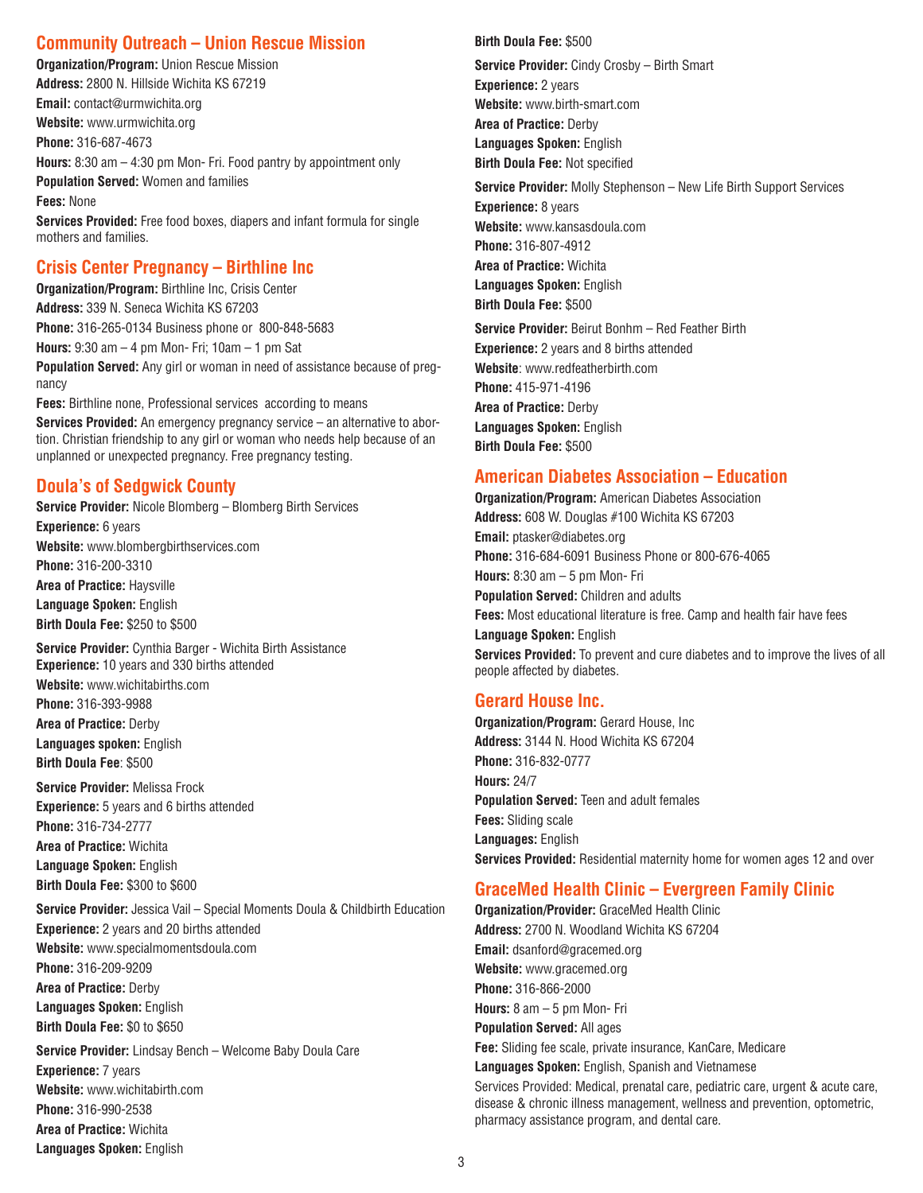## **Community Outreach – Union Rescue Mission**

**Organization/Program:** Union Rescue Mission **Address:** 2800 N. Hillside Wichita KS 67219 **Email:** contact@urmwichita.org **Website:** [www.urmwichita.org](www.urmwichita.org ) **Phone:** 316-687-4673 **Hours:** 8:30 am – 4:30 pm Mon- Fri. Food pantry by appointment only **Population Served:** Women and families **Fees:** None **Services Provided:** Free food boxes, diapers and infant formula for single mothers and families.

### **Crisis Center Pregnancy – Birthline Inc**

**Organization/Program:** Birthline Inc, Crisis Center **Address:** 339 N. Seneca Wichita KS 67203 **Phone:** 316-265-0134 Business phone or 800-848-5683 **Hours:** 9:30 am – 4 pm Mon- Fri; 10am – 1 pm Sat **Population Served:** Any girl or woman in need of assistance because of pregnancy **Fees:** Birthline none, Professional services according to means

**Services Provided:** An emergency pregnancy service – an alternative to abortion. Christian friendship to any girl or woman who needs help because of an unplanned or unexpected pregnancy. Free pregnancy testing.

## **Doula's of Sedgwick County**

**Service Provider:** Nicole Blomberg – Blomberg Birth Services

**Experience:** 6 years **Website:** <www.blombergbirthservices.com> **Phone:** 316-200-3310

**Area of Practice:** Haysville **Language Spoken:** English **Birth Doula Fee:** \$250 to \$500

**Service Provider:** Cynthia Barger - Wichita Birth Assistance **Experience:** 10 years and 330 births attended

**Website:** <www.wichitabirths.com> **Phone:** 316-393-9988 **Area of Practice:** Derby

**Languages spoken:** English **Birth Doula Fee**: \$500

**Service Provider:** Melissa Frock **Experience:** 5 years and 6 births attended **Phone:** 316-734-2777 **Area of Practice:** Wichita **Language Spoken:** English **Birth Doula Fee:** \$300 to \$600

**Service Provider:** Jessica Vail – Special Moments Doula & Childbirth Education

**Experience:** 2 years and 20 births attended **Website:** <www.specialmomentsdoula.com> **Phone:** 316-209-9209 **Area of Practice:** Derby **Languages Spoken:** English **Birth Doula Fee:** \$0 to \$650

**Service Provider:** Lindsay Bench – Welcome Baby Doula Care **Experience:** 7 years **Website:** [www.wichitabirth.com](www.wichitabirths.com) **Phone:** 316-990-2538 **Area of Practice:** Wichita **Languages Spoken:** English

#### **Birth Doula Fee:** \$500

**Service Provider:** Cindy Crosby – Birth Smart **Experience:** 2 years **Website:** <www.birth-smart.com> **Area of Practice:** Derby **Languages Spoken:** English **Birth Doula Fee:** Not specified

**Service Provider:** Molly Stephenson – New Life Birth Support Services

**Experience:** 8 years **Website:** <www.kansasdoula.com> **Phone:** 316-807-4912 **Area of Practice:** Wichita **Languages Spoken:** English **Birth Doula Fee:** \$500

**Service Provider:** Beirut Bonhm – Red Feather Birth **Experience:** 2 years and 8 births attended **Website**: <www.redfeatherbirth.com> **Phone:** 415-971-4196 **Area of Practice:** Derby **Languages Spoken:** English **Birth Doula Fee:** \$500

#### **American Diabetes Association – Education**

**Organization/Program:** American Diabetes Association **Address:** 608 W. Douglas #100 Wichita KS 67203 **Email:** ptasker@diabetes.org **Phone:** 316-684-6091 Business Phone or 800-676-4065 **Hours:** 8:30 am – 5 pm Mon- Fri **Population Served:** Children and adults **Fees:** Most educational literature is free. Camp and health fair have fees **Language Spoken:** English **Services Provided:** To prevent and cure diabetes and to improve the lives of all people affected by diabetes.

### **Gerard House Inc.**

**Organization/Program:** Gerard House, Inc **Address:** 3144 N. Hood Wichita KS 67204 **Phone:** 316-832-0777 **Hours:** 24/7 **Population Served:** Teen and adult females **Fees:** Sliding scale **Languages:** English **Services Provided:** Residential maternity home for women ages 12 and over

### **GraceMed Health Clinic – Evergreen Family Clinic**

**Organization/Provider:** GraceMed Health Clinic **Address:** 2700 N. Woodland Wichita KS 67204 **Email:** dsanford@gracemed.org **Website:** <www.gracemed.org> **Phone:** 316-866-2000 **Hours:** 8 am – 5 pm Mon- Fri **Population Served:** All ages **Fee:** Sliding fee scale, private insurance, KanCare, Medicare **Languages Spoken:** English, Spanish and Vietnamese Services Provided: Medical, prenatal care, pediatric care, urgent & acute care, disease & chronic illness management, wellness and prevention, optometric, pharmacy assistance program, and dental care.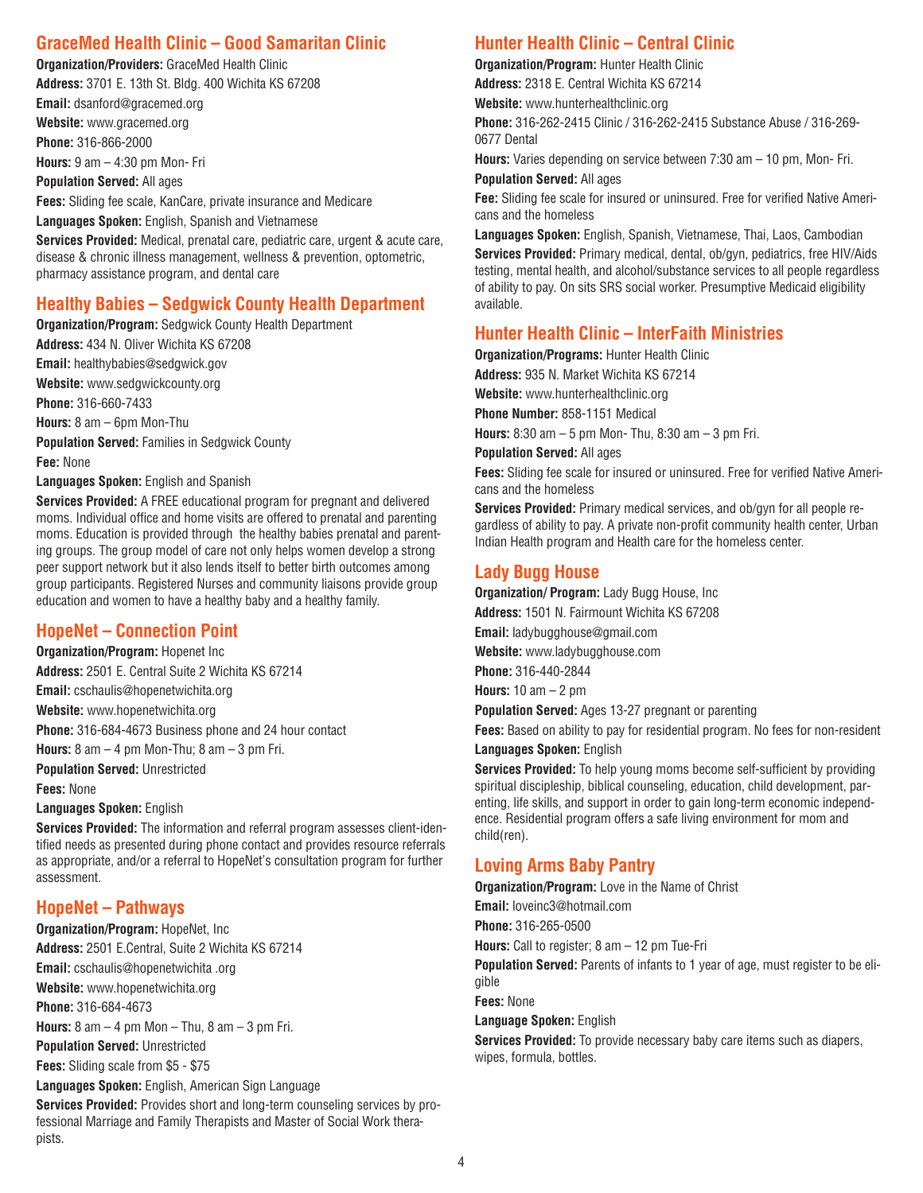## **GraceMed Health Clinic – Good Samaritan Clinic**

**Organization/Providers:** GraceMed Health Clinic **Address:** 3701 E. 13th St. Bldg. 400 Wichita KS 67208 **Email:** dsanford@gracemed.org **Website:** <www.gracemed.org> **Phone:** 316-866-2000 **Hours:** 9 am – 4:30 pm Mon- Fri **Population Served:** All ages **Fees:** Sliding fee scale, KanCare, private insurance and Medicare

**Languages Spoken:** English, Spanish and Vietnamese **Services Provided:** Medical, prenatal care, pediatric care, urgent & acute care, disease & chronic illness management, wellness & prevention, optometric, pharmacy assistance program, and dental care

### **Healthy Babies – Sedgwick County Health Department**

**Organization/Program:** Sedgwick County Health Department

**Address:** 434 N. Oliver Wichita KS 67208 **Email:** healthybabies@sedgwick.gov **Website:** [www.sedgwickcounty.org](www.sedgwickcounty.org ) **Phone:** 316-660-7433 **Hours:** 8 am – 6pm Mon-Thu **Population Served:** Families in Sedgwick County **Fee:** None **Languages Spoken:** English and Spanish

**Services Provided:** A FREE educational program for pregnant and delivered moms. Individual office and home visits are offered to prenatal and parenting moms. Education is provided through the healthy babies prenatal and parenting groups. The group model of care not only helps women develop a strong peer support network but it also lends itself to better birth outcomes among group participants. Registered Nurses and community liaisons provide group education and women to have a healthy baby and a healthy family.

## **HopeNet – Connection Point**

**Organization/Program:** Hopenet Inc **Address:** 2501 E. Central Suite 2 Wichita KS 67214 **Email:** cschaulis@hopenetwichita.org **Website:** <www.hopenetwichita.org> **Phone:** 316-684-4673 Business phone and 24 hour contact **Hours:** 8 am – 4 pm Mon-Thu; 8 am – 3 pm Fri.

**Population Served:** Unrestricted **Fees:** None

**Languages Spoken:** English

**Services Provided:** The information and referral program assesses client-identified needs as presented during phone contact and provides resource referrals as appropriate, and/or a referral to HopeNet's consultation program for further assessment.

## **HopeNet – Pathways**

**Organization/Program:** HopeNet, Inc **Address:** 2501 E.Central, Suite 2 Wichita KS 67214 **Email:** cschaulis@hopenetwichita .org **Website:** <www.hopenetwichita.org> **Phone:** 316-684-4673 **Hours:** 8 am – 4 pm Mon – Thu, 8 am – 3 pm Fri. **Population Served:** Unrestricted **Fees:** Sliding scale from \$5 - \$75 **Languages Spoken:** English, American Sign Language

**Services Provided:** Provides short and long-term counseling services by professional Marriage and Family Therapists and Master of Social Work therapists.

## **Hunter Health Clinic – Central Clinic**

**Organization/Program:** Hunter Health Clinic

**Address:** 2318 E. Central Wichita KS 67214

**Website:** [www.hunterhealthclinic.org](www.hunterhealthclinic.org )

**Phone:** 316-262-2415 Clinic / 316-262-2415 Substance Abuse / 316-269- 0677 Dental

**Hours:** Varies depending on service between 7:30 am – 10 pm, Mon- Fri.

**Population Served:** All ages

**Fee:** Sliding fee scale for insured or uninsured. Free for verified Native Americans and the homeless

**Languages Spoken:** English, Spanish, Vietnamese, Thai, Laos, Cambodian **Services Provided:** Primary medical, dental, ob/gyn, pediatrics, free HIV/Aids testing, mental health, and alcohol/substance services to all people regardless of ability to pay. On sits SRS social worker. Presumptive Medicaid eligibility available.

## **Hunter Health Clinic – InterFaith Ministries**

**Organization/Programs:** Hunter Health Clinic

**Address:** 935 N. Market Wichita KS 67214

**Website:** [www.hunterhealthclinic.org](www.hunterhealthclinic.org )

**Phone Number:** 858-1151 Medical

**Hours:** 8:30 am – 5 pm Mon- Thu, 8:30 am – 3 pm Fri.

**Population Served:** All ages

**Fees:** Sliding fee scale for insured or uninsured. Free for verified Native Americans and the homeless

**Services Provided:** Primary medical services, and ob/gyn for all people regardless of ability to pay. A private non-profit community health center, Urban Indian Health program and Health care for the homeless center.

### **Lady Bugg House**

**Organization/ Program:** Lady Bugg House, Inc

**Address:** 1501 N. Fairmount Wichita KS 67208

**Email:** ladybugghouse@gmail.com

**Website:** <www.ladybugghouse.com>

**Phone:** 316-440-2844

**Hours:** 10 am – 2 pm

**Population Served:** Ages 13-27 pregnant or parenting

**Fees:** Based on ability to pay for residential program. No fees for non-resident **Languages Spoken:** English

**Services Provided:** To help young moms become self-sufficient by providing spiritual discipleship, biblical counseling, education, child development, parenting, life skills, and support in order to gain long-term economic independence. Residential program offers a safe living environment for mom and child(ren).

## **Loving Arms Baby Pantry**

**Organization/Program:** Love in the Name of Christ

**Email:** loveinc3@hotmail.com

**Phone:** 316-265-0500

**Hours:** Call to register; 8 am – 12 pm Tue-Fri

**Population Served:** Parents of infants to 1 year of age, must register to be eligible

**Fees:** None

#### **Language Spoken:** English

**Services Provided:** To provide necessary baby care items such as diapers, wipes, formula, bottles.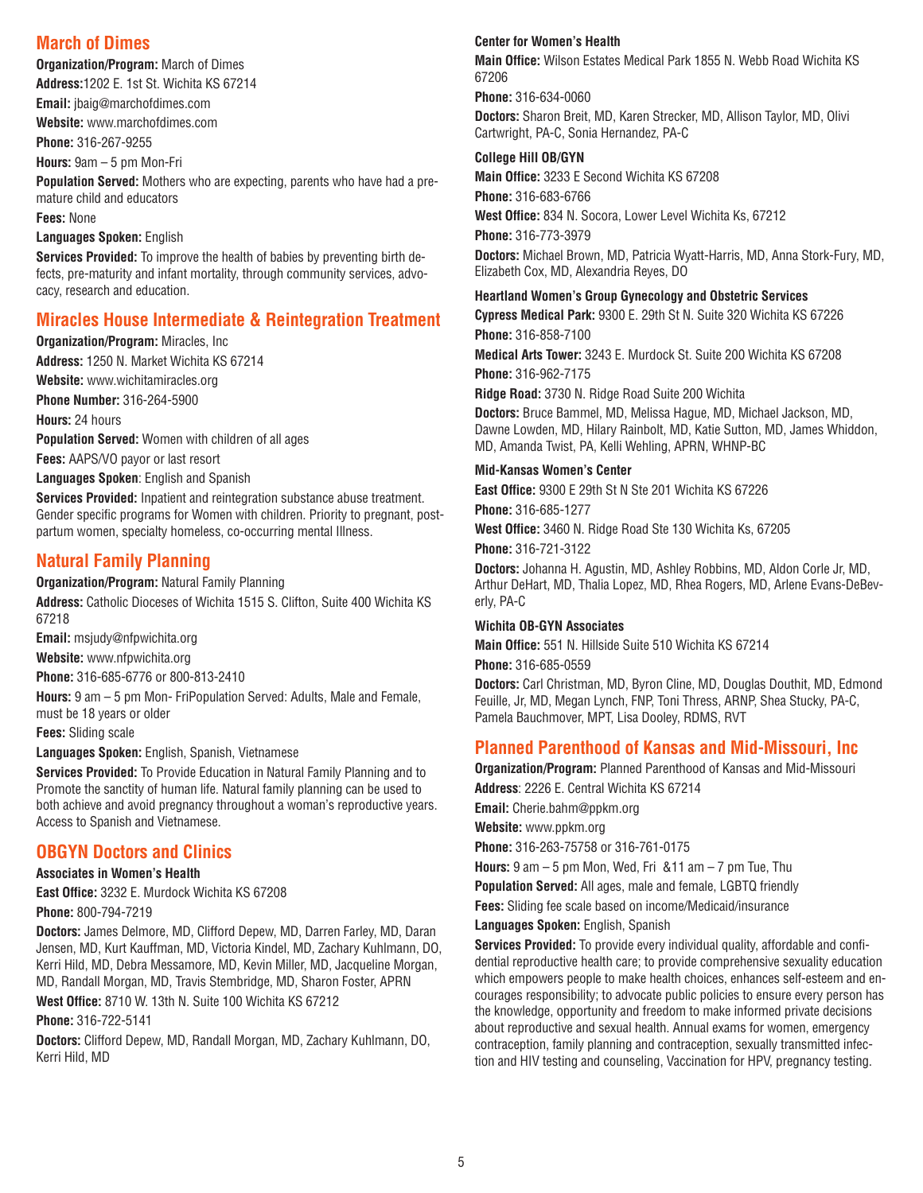## **March of Dimes**

**Organization/Program:** March of Dimes

**Address:**1202 E. 1st St. Wichita KS 67214

**Email:** jbaig@marchofdimes.com **Website:** <www.marchofdimes.com>

**Phone:** 316-267-9255

**Hours:** 9am – 5 pm Mon-Fri

**Population Served:** Mothers who are expecting, parents who have had a premature child and educators

**Fees:** None

#### **Languages Spoken:** English

**Services Provided:** To improve the health of babies by preventing birth defects, pre-maturity and infant mortality, through community services, advocacy, research and education.

## **Miracles House Intermediate & Reintegration Treatment**

**Organization/Program:** Miracles, Inc

**Address:** 1250 N. Market Wichita KS 67214 **Website:** [www.wichitamiracles.org](www.wichitamiracles.org ) **Phone Number:** 316-264-5900 **Hours:** 24 hours **Population Served:** Women with children of all ages **Fees:** AAPS/VO payor or last resort **Languages Spoken**: English and Spanish

**Services Provided:** Inpatient and reintegration substance abuse treatment. Gender specific programs for Women with children. Priority to pregnant, postpartum women, specialty homeless, co-occurring mental Illness.

## **Natural Family Planning**

**Organization/Program:** Natural Family Planning **Address:** Catholic Dioceses of Wichita 1515 S. Clifton, Suite 400 Wichita KS 67218

**Email:** msjudy@nfpwichita.org

**Website:** [www.nfpwichita.org](www.nfpwichita.org )

**Phone:** 316-685-6776 or 800-813-2410

**Hours:** 9 am – 5 pm Mon- FriPopulation Served: Adults, Male and Female, must be 18 years or older

**Fees:** Sliding scale

**Languages Spoken:** English, Spanish, Vietnamese

**Services Provided:** To Provide Education in Natural Family Planning and to Promote the sanctity of human life. Natural family planning can be used to both achieve and avoid pregnancy throughout a woman's reproductive years. Access to Spanish and Vietnamese.

## **OBGYN Doctors and Clinics**

#### **Associates in Women's Health**

**East Office:** 3232 E. Murdock Wichita KS 67208 **Phone:** 800-794-7219

**Doctors:** James Delmore, MD, Clifford Depew, MD, Darren Farley, MD, Daran Jensen, MD, Kurt Kauffman, MD, Victoria Kindel, MD, Zachary Kuhlmann, DO, Kerri Hild, MD, Debra Messamore, MD, Kevin Miller, MD, Jacqueline Morgan, MD, Randall Morgan, MD, Travis Stembridge, MD, Sharon Foster, APRN

**West Office:** 8710 W. 13th N. Suite 100 Wichita KS 67212

**Phone:** 316-722-5141

**Doctors:** Clifford Depew, MD, Randall Morgan, MD, Zachary Kuhlmann, DO, Kerri Hild, MD

#### **Center for Women's Health**

**Main Office:** Wilson Estates Medical Park 1855 N. Webb Road Wichita KS 67206

**Phone:** 316-634-0060

**Doctors:** Sharon Breit, MD, Karen Strecker, MD, Allison Taylor, MD, Olivi Cartwright, PA-C, Sonia Hernandez, PA-C

#### **College Hill OB/GYN**

**Main Office:** 3233 E Second Wichita KS 67208 **Phone:** 316-683-6766 **West Office:** 834 N. Socora, Lower Level Wichita Ks, 67212 **Phone:** 316-773-3979 **Doctors:** Michael Brown, MD, Patricia Wyatt-Harris, MD, Anna Stork-Fury, MD, Elizabeth Cox, MD, Alexandria Reyes, DO

#### **Heartland Women's Group Gynecology and Obstetric Services**

**Cypress Medical Park:** 9300 E. 29th St N. Suite 320 Wichita KS 67226 **Phone:** 316-858-7100

**Medical Arts Tower:** 3243 E. Murdock St. Suite 200 Wichita KS 67208 **Phone:** 316-962-7175

**Ridge Road:** 3730 N. Ridge Road Suite 200 Wichita

**Doctors:** Bruce Bammel, MD, Melissa Hague, MD, Michael Jackson, MD, Dawne Lowden, MD, Hilary Rainbolt, MD, Katie Sutton, MD, James Whiddon, MD, Amanda Twist, PA, Kelli Wehling, APRN, WHNP-BC

#### **Mid-Kansas Women's Center**

**East Office:** 9300 E 29th St N Ste 201 Wichita KS 67226

**Phone:** 316-685-1277

**West Office:** 3460 N. Ridge Road Ste 130 Wichita Ks, 67205 **Phone:** 316-721-3122

**Doctors:** Johanna H. Agustin, MD, Ashley Robbins, MD, Aldon Corle Jr, MD, Arthur DeHart, MD, Thalia Lopez, MD, Rhea Rogers, MD, Arlene Evans-DeBeverly, PA-C

#### **Wichita OB-GYN Associates**

**Main Office:** 551 N. Hillside Suite 510 Wichita KS 67214 **Phone:** 316-685-0559

**Doctors:** Carl Christman, MD, Byron Cline, MD, Douglas Douthit, MD, Edmond Feuille, Jr, MD, Megan Lynch, FNP, Toni Thress, ARNP, Shea Stucky, PA-C, Pamela Bauchmover, MPT, Lisa Dooley, RDMS, RVT

## **Planned Parenthood of Kansas and Mid-Missouri, Inc**

**Organization/Program:** Planned Parenthood of Kansas and Mid-Missouri **Address**: 2226 E. Central Wichita KS 67214

**Email:** Cherie.bahm@ppkm.org

**Website:** [www.ppkm.org](www.ppkm.org )

**Phone:** 316-263-75758 or 316-761-0175

**Hours:** 9 am – 5 pm Mon, Wed, Fri &11 am – 7 pm Tue, Thu

**Population Served:** All ages, male and female, LGBTQ friendly

**Fees:** Sliding fee scale based on income/Medicaid/insurance

**Languages Spoken:** English, Spanish

**Services Provided:** To provide every individual quality, affordable and confidential reproductive health care; to provide comprehensive sexuality education which empowers people to make health choices, enhances self-esteem and encourages responsibility; to advocate public policies to ensure every person has the knowledge, opportunity and freedom to make informed private decisions about reproductive and sexual health. Annual exams for women, emergency contraception, family planning and contraception, sexually transmitted infection and HIV testing and counseling, Vaccination for HPV, pregnancy testing.